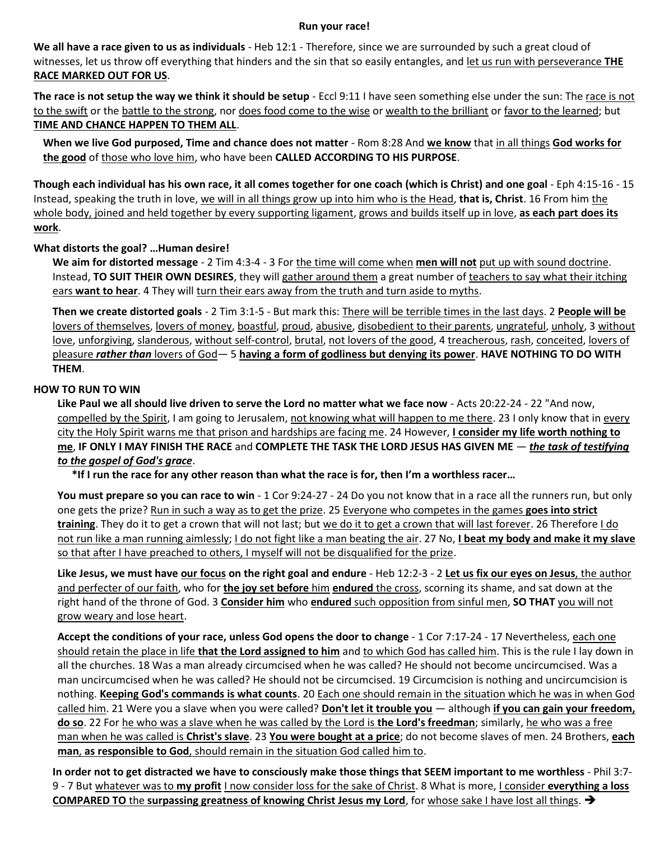## **Run your race!**

**We all have a race given to us as individuals** - Heb 12:1 - Therefore, since we are surrounded by such a great cloud of witnesses, let us throw off everything that hinders and the sin that so easily entangles, and let us run with perseverance **THE RACE MARKED OUT FOR US**.

**The race is not setup the way we think it should be setup** - Eccl 9:11 I have seen something else under the sun: The race is not to the swift or the battle to the strong, nor does food come to the wise or wealth to the brilliant or favor to the learned; but **TIME AND CHANCE HAPPEN TO THEM ALL**.

**When we live God purposed, Time and chance does not matter** - Rom 8:28 And **we know** that in all things **God works for the good** of those who love him, who have been **CALLED ACCORDING TO HIS PURPOSE**.

**Though each individual has his own race, it all comes together for one coach (which is Christ) and one goal** - Eph 4:15-16 - 15 Instead, speaking the truth in love, we will in all things grow up into him who is the Head, **that is, Christ**. 16 From him the whole body, joined and held together by every supporting ligament, grows and builds itself up in love, **as each part does its work**.

## **What distorts the goal? …Human desire!**

**We aim for distorted message** - 2 Tim 4:3-4 - 3 For the time will come when **men will not** put up with sound doctrine. Instead, **TO SUIT THEIR OWN DESIRES**, they will gather around them a great number of teachers to say what their itching ears want to hear. 4 They will turn their ears away from the truth and turn aside to myths.

**Then we create distorted goals** - 2 Tim 3:1-5 - But mark this: There will be terrible times in the last days. 2 **People will be** lovers of themselves, lovers of money, boastful, proud, abusive, disobedient to their parents, ungrateful, unholy, 3 without love, unforgiving, slanderous, without self-control, brutal, not lovers of the good, 4 treacherous, rash, conceited, lovers of pleasure *rather than* lovers of God— 5 **having a form of godliness but denying its power**. **HAVE NOTHING TO DO WITH THEM**.

## **HOW TO RUN TO WIN**

**Like Paul we all should live driven to serve the Lord no matter what we face now** - Acts 20:22-24 - 22 "And now, compelled by the Spirit, I am going to Jerusalem, not knowing what will happen to me there. 23 I only know that in every city the Holy Spirit warns me that prison and hardships are facing me. 24 However, **I consider my life worth nothing to me**, **IF ONLY I MAY FINISH THE RACE** and **COMPLETE THE TASK THE LORD JESUS HAS GIVEN ME** — *the task of testifying to the gospel of God's grace*.

**\*If I run the race for any other reason than what the race is for, then I'm a worthless racer…**

You must prepare so you can race to win - 1 Cor 9:24-27 - 24 Do you not know that in a race all the runners run, but only one gets the prize? Run in such a way as to get the prize. 25 Everyone who competes in the games **goes into strict training**. They do it to get a crown that will not last; but we do it to get a crown that will last forever. 26 Therefore I do not run like a man running aimlessly; I do not fight like a man beating the air. 27 No, **I beat my body and make it my slave** so that after I have preached to others, I myself will not be disqualified for the prize.

**Like Jesus, we must have our focus on the right goal and endure** - Heb 12:2-3 - 2 **Let us fix our eyes on Jesus**, the author and perfecter of our faith, who for **the joy set before** him **endured** the cross, scorning its shame, and sat down at the right hand of the throne of God. 3 **Consider him** who **endured** such opposition from sinful men, **SO THAT** you will not grow weary and lose heart.

**Accept the conditions of your race, unless God opens the door to change** - 1 Cor 7:17-24 - 17 Nevertheless, each one should retain the place in life **that the Lord assigned to him** and to which God has called him. This is the rule I lay down in all the churches. 18 Was a man already circumcised when he was called? He should not become uncircumcised. Was a man uncircumcised when he was called? He should not be circumcised. 19 Circumcision is nothing and uncircumcision is nothing. **Keeping God's commands is what counts**. 20 Each one should remain in the situation which he was in when God called him. 21 Were you a slave when you were called? **Don't let it trouble you** — although **if you can gain your freedom, do so**. 22 For he who was a slave when he was called by the Lord is **the Lord's freedman**; similarly, he who was a free man when he was called is **Christ's slave**. 23 **You were bought at a price**; do not become slaves of men. 24 Brothers, **each man**, **as responsible to God**, should remain in the situation God called him to.

**In order not to get distracted we have to consciously make those things that SEEM important to me worthless** - Phil 3:7- 9 - 7 But whatever was to **my profit** I now consider loss for the sake of Christ. 8 What is more, I consider **everything a loss COMPARED TO** the **surpassing greatness of knowing Christ Jesus my Lord**, for whose sake I have lost all things. ➔